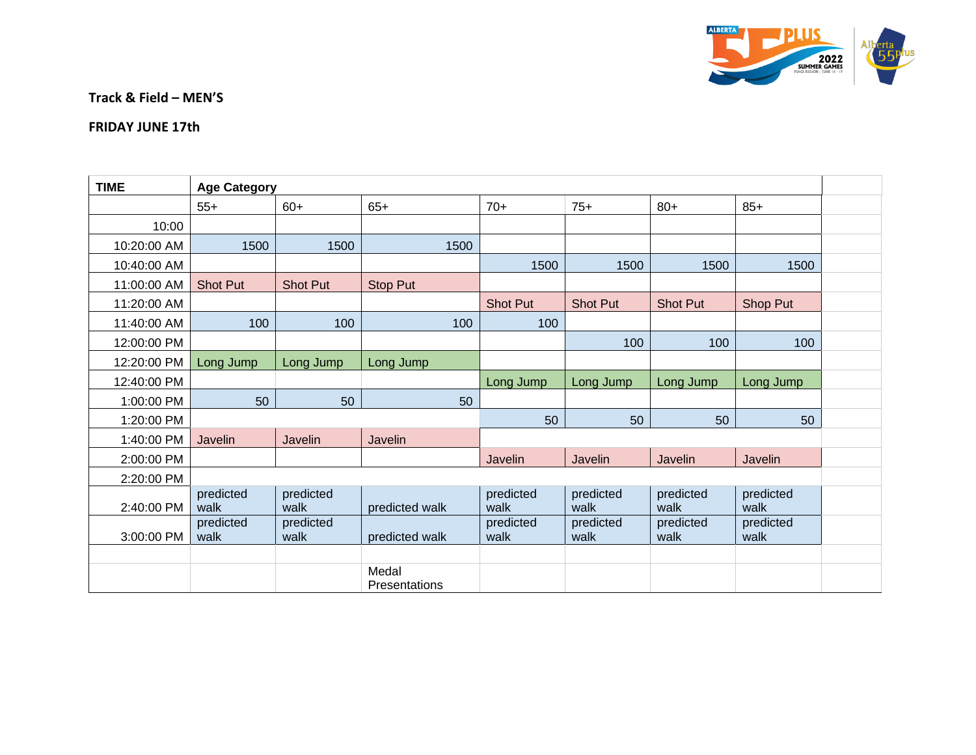

**Track & Field – MEN'S**

## **FRIDAY JUNE 17th**

| <b>TIME</b> | <b>Age Category</b> |                   |                        |                   |                   |                   |                   |  |  |  |  |
|-------------|---------------------|-------------------|------------------------|-------------------|-------------------|-------------------|-------------------|--|--|--|--|
|             | $55+$               | $60+$             | $65+$                  | $70+$             | $75+$             | $80+$             | $85+$             |  |  |  |  |
| 10:00       |                     |                   |                        |                   |                   |                   |                   |  |  |  |  |
| 10:20:00 AM | 1500                | 1500              | 1500                   |                   |                   |                   |                   |  |  |  |  |
| 10:40:00 AM |                     |                   |                        | 1500              | 1500              | 1500              | 1500              |  |  |  |  |
| 11:00:00 AM | Shot Put            | <b>Shot Put</b>   | <b>Stop Put</b>        |                   |                   |                   |                   |  |  |  |  |
| 11:20:00 AM |                     |                   |                        | Shot Put          | Shot Put          | <b>Shot Put</b>   | Shop Put          |  |  |  |  |
| 11:40:00 AM | 100                 | 100               | 100                    | 100               |                   |                   |                   |  |  |  |  |
| 12:00:00 PM |                     |                   |                        |                   | 100               | 100               | 100               |  |  |  |  |
| 12:20:00 PM | Long Jump           | Long Jump         | Long Jump              |                   |                   |                   |                   |  |  |  |  |
| 12:40:00 PM |                     |                   |                        | Long Jump         | Long Jump         | Long Jump         | Long Jump         |  |  |  |  |
| 1:00:00 PM  | 50                  | 50                | 50                     |                   |                   |                   |                   |  |  |  |  |
| 1:20:00 PM  |                     |                   |                        | 50                | 50                | 50                | 50                |  |  |  |  |
| 1:40:00 PM  | Javelin             | Javelin           | Javelin                |                   |                   |                   |                   |  |  |  |  |
| 2:00:00 PM  |                     |                   |                        | Javelin           | Javelin           | Javelin           | Javelin           |  |  |  |  |
| 2:20:00 PM  |                     |                   |                        |                   |                   |                   |                   |  |  |  |  |
| 2:40:00 PM  | predicted<br>walk   | predicted<br>walk | predicted walk         | predicted<br>walk | predicted<br>walk | predicted<br>walk | predicted<br>walk |  |  |  |  |
| 3:00:00 PM  | predicted<br>walk   | predicted<br>walk | predicted walk         | predicted<br>walk | predicted<br>walk | predicted<br>walk | predicted<br>walk |  |  |  |  |
|             |                     |                   |                        |                   |                   |                   |                   |  |  |  |  |
|             |                     |                   | Medal<br>Presentations |                   |                   |                   |                   |  |  |  |  |